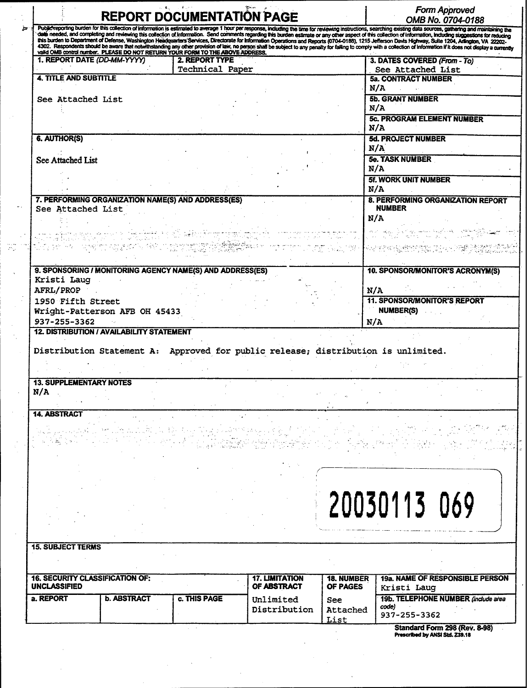|                                                               |                                                                                                                                                                                                            | <b>REPORT DOCUMENTATION PAGE</b>                                                                                                                                                                                                |                                      |                               | OMB No. 0704-0188                                                                                                                                                                                                                                                                                                                                                                                                                          |
|---------------------------------------------------------------|------------------------------------------------------------------------------------------------------------------------------------------------------------------------------------------------------------|---------------------------------------------------------------------------------------------------------------------------------------------------------------------------------------------------------------------------------|--------------------------------------|-------------------------------|--------------------------------------------------------------------------------------------------------------------------------------------------------------------------------------------------------------------------------------------------------------------------------------------------------------------------------------------------------------------------------------------------------------------------------------------|
|                                                               |                                                                                                                                                                                                            |                                                                                                                                                                                                                                 |                                      |                               | Public reporting burden for this collection of information is estimated to average 1 hour per response, including the time for reviewing instructions, searching existing data sources, gathering and maintaining the<br>data nee                                                                                                                                                                                                          |
|                                                               |                                                                                                                                                                                                            |                                                                                                                                                                                                                                 |                                      |                               | this burden to Department of Defense, Washington Headquarters Services, Directorate for Information Operations and Reports (0704-0188), 1215 Jefferson Davis Highway, Suite 1204, Anington, VA 22202-<br>4302. Respondents should be aware that notwithstanding any other provision of law, no person shall be subject to any penalty for failing to comply with a collection of information if it does not display a currently<br>valid O |
| 1. REPORT DATE (DD-MM-YYYY)                                   |                                                                                                                                                                                                            | <b>2. REPORT TYPE</b><br><b>Technical Paper</b>                                                                                                                                                                                 |                                      |                               | 3. DATES COVERED (From - To)<br>See Attached List                                                                                                                                                                                                                                                                                                                                                                                          |
| 4. TITLE AND SUBTITLE                                         |                                                                                                                                                                                                            |                                                                                                                                                                                                                                 |                                      |                               | <b>5a. CONTRACT NUMBER</b>                                                                                                                                                                                                                                                                                                                                                                                                                 |
|                                                               |                                                                                                                                                                                                            |                                                                                                                                                                                                                                 |                                      |                               | N/A                                                                                                                                                                                                                                                                                                                                                                                                                                        |
| See Attached List                                             |                                                                                                                                                                                                            |                                                                                                                                                                                                                                 |                                      |                               | <b>5b. GRANT NUMBER</b>                                                                                                                                                                                                                                                                                                                                                                                                                    |
|                                                               |                                                                                                                                                                                                            |                                                                                                                                                                                                                                 |                                      |                               | N/A                                                                                                                                                                                                                                                                                                                                                                                                                                        |
|                                                               |                                                                                                                                                                                                            |                                                                                                                                                                                                                                 |                                      |                               | <b>5c. PROGRAM ELEMENT NUMBER</b><br>N/A                                                                                                                                                                                                                                                                                                                                                                                                   |
| 6. AUTHOR(S)                                                  |                                                                                                                                                                                                            |                                                                                                                                                                                                                                 |                                      |                               | <b>5d. PROJECT NUMBER</b>                                                                                                                                                                                                                                                                                                                                                                                                                  |
|                                                               |                                                                                                                                                                                                            |                                                                                                                                                                                                                                 |                                      |                               | N/A                                                                                                                                                                                                                                                                                                                                                                                                                                        |
| See Attached List                                             |                                                                                                                                                                                                            |                                                                                                                                                                                                                                 |                                      |                               | <b>5e. TASK NUMBER</b>                                                                                                                                                                                                                                                                                                                                                                                                                     |
|                                                               |                                                                                                                                                                                                            |                                                                                                                                                                                                                                 |                                      |                               | N/A                                                                                                                                                                                                                                                                                                                                                                                                                                        |
|                                                               |                                                                                                                                                                                                            |                                                                                                                                                                                                                                 |                                      |                               | <b>5f. WORK UNIT NUMBER</b>                                                                                                                                                                                                                                                                                                                                                                                                                |
|                                                               |                                                                                                                                                                                                            |                                                                                                                                                                                                                                 |                                      |                               | N/A                                                                                                                                                                                                                                                                                                                                                                                                                                        |
| See Attached List                                             |                                                                                                                                                                                                            | 7. PERFORMING ORGANIZATION NAME(S) AND ADDRESS(ES)                                                                                                                                                                              |                                      |                               | 8. PERFORMING ORGANIZATION REPORT<br><b>NUMBER</b>                                                                                                                                                                                                                                                                                                                                                                                         |
|                                                               |                                                                                                                                                                                                            |                                                                                                                                                                                                                                 |                                      |                               | N/A                                                                                                                                                                                                                                                                                                                                                                                                                                        |
|                                                               |                                                                                                                                                                                                            |                                                                                                                                                                                                                                 |                                      |                               |                                                                                                                                                                                                                                                                                                                                                                                                                                            |
|                                                               | ا الإن قال المتفاضلين والمسلم المساوية المتحدة المتحدة المتحدة المتحدة المتحدة المساوية.<br>المسلم المتحدة المتحدة المسلم المسلم المسلم المتحدة المسلم المسلم المسلم المسلم المسلم المسلم المسلم المسلم ال | a se a fait se tany sport i de destació de la del território de segunda en la contenente de la contenente de l<br>El contenente de provincia a la contenente de la contenente de la contenente de la contenentación en la conte |                                      |                               |                                                                                                                                                                                                                                                                                                                                                                                                                                            |
|                                                               |                                                                                                                                                                                                            |                                                                                                                                                                                                                                 |                                      |                               | The Constitution of the constitution of the constitution of the constitution of the constitution of the constit<br>The constitution of the constitution of the constitution of the constitution of the constitution of the consti                                                                                                                                                                                                          |
|                                                               |                                                                                                                                                                                                            |                                                                                                                                                                                                                                 |                                      |                               |                                                                                                                                                                                                                                                                                                                                                                                                                                            |
| Kristi Laug                                                   |                                                                                                                                                                                                            | 9. SPONSORING / MONITORING AGENCY NAME(S) AND ADDRESS(ES)                                                                                                                                                                       |                                      |                               | 10. SPONSOR/MONITOR'S ACRONYM(S)                                                                                                                                                                                                                                                                                                                                                                                                           |
| AFRL/PROP                                                     |                                                                                                                                                                                                            |                                                                                                                                                                                                                                 |                                      | N/A                           |                                                                                                                                                                                                                                                                                                                                                                                                                                            |
| 1950 Fifth Street                                             |                                                                                                                                                                                                            |                                                                                                                                                                                                                                 |                                      |                               | <b>11. SPONSOR/MONITOR'S REPORT</b>                                                                                                                                                                                                                                                                                                                                                                                                        |
|                                                               | Wright-Patterson AFB OH 45433                                                                                                                                                                              |                                                                                                                                                                                                                                 |                                      |                               | <b>NUMBER(S)</b>                                                                                                                                                                                                                                                                                                                                                                                                                           |
|                                                               |                                                                                                                                                                                                            |                                                                                                                                                                                                                                 |                                      |                               |                                                                                                                                                                                                                                                                                                                                                                                                                                            |
| 937-255-3362                                                  |                                                                                                                                                                                                            |                                                                                                                                                                                                                                 |                                      | N/A                           |                                                                                                                                                                                                                                                                                                                                                                                                                                            |
|                                                               | <b>12. DISTRIBUTION / AVAILABILITY STATEMENT</b>                                                                                                                                                           |                                                                                                                                                                                                                                 |                                      |                               |                                                                                                                                                                                                                                                                                                                                                                                                                                            |
|                                                               |                                                                                                                                                                                                            | Distribution Statement A: Approved for public release; distribution is unlimited.                                                                                                                                               |                                      |                               |                                                                                                                                                                                                                                                                                                                                                                                                                                            |
|                                                               |                                                                                                                                                                                                            |                                                                                                                                                                                                                                 |                                      |                               |                                                                                                                                                                                                                                                                                                                                                                                                                                            |
| <b>13. SUPPLEMENTARY NOTES</b><br>N/A                         |                                                                                                                                                                                                            |                                                                                                                                                                                                                                 |                                      |                               |                                                                                                                                                                                                                                                                                                                                                                                                                                            |
|                                                               |                                                                                                                                                                                                            |                                                                                                                                                                                                                                 |                                      |                               |                                                                                                                                                                                                                                                                                                                                                                                                                                            |
| <b>14. ABSTRACT</b>                                           |                                                                                                                                                                                                            |                                                                                                                                                                                                                                 |                                      |                               |                                                                                                                                                                                                                                                                                                                                                                                                                                            |
|                                                               |                                                                                                                                                                                                            |                                                                                                                                                                                                                                 |                                      |                               |                                                                                                                                                                                                                                                                                                                                                                                                                                            |
|                                                               |                                                                                                                                                                                                            |                                                                                                                                                                                                                                 |                                      |                               |                                                                                                                                                                                                                                                                                                                                                                                                                                            |
|                                                               |                                                                                                                                                                                                            |                                                                                                                                                                                                                                 |                                      |                               |                                                                                                                                                                                                                                                                                                                                                                                                                                            |
|                                                               |                                                                                                                                                                                                            |                                                                                                                                                                                                                                 |                                      |                               |                                                                                                                                                                                                                                                                                                                                                                                                                                            |
|                                                               |                                                                                                                                                                                                            |                                                                                                                                                                                                                                 |                                      |                               |                                                                                                                                                                                                                                                                                                                                                                                                                                            |
|                                                               |                                                                                                                                                                                                            |                                                                                                                                                                                                                                 |                                      |                               |                                                                                                                                                                                                                                                                                                                                                                                                                                            |
|                                                               |                                                                                                                                                                                                            |                                                                                                                                                                                                                                 |                                      |                               |                                                                                                                                                                                                                                                                                                                                                                                                                                            |
|                                                               |                                                                                                                                                                                                            |                                                                                                                                                                                                                                 |                                      |                               |                                                                                                                                                                                                                                                                                                                                                                                                                                            |
|                                                               |                                                                                                                                                                                                            |                                                                                                                                                                                                                                 |                                      |                               | 20030113 069                                                                                                                                                                                                                                                                                                                                                                                                                               |
|                                                               |                                                                                                                                                                                                            |                                                                                                                                                                                                                                 |                                      |                               |                                                                                                                                                                                                                                                                                                                                                                                                                                            |
| <b>15. SUBJECT TERMS</b>                                      |                                                                                                                                                                                                            |                                                                                                                                                                                                                                 |                                      |                               |                                                                                                                                                                                                                                                                                                                                                                                                                                            |
|                                                               |                                                                                                                                                                                                            |                                                                                                                                                                                                                                 |                                      |                               |                                                                                                                                                                                                                                                                                                                                                                                                                                            |
|                                                               |                                                                                                                                                                                                            |                                                                                                                                                                                                                                 |                                      |                               |                                                                                                                                                                                                                                                                                                                                                                                                                                            |
| <b>16. SECURITY CLASSIFICATION OF:</b><br><b>UNCLASSIFIED</b> |                                                                                                                                                                                                            |                                                                                                                                                                                                                                 | <b>17. LIMITATION</b><br>OF ABSTRACT | <b>18. NUMBER</b><br>OF PAGES | 19a. NAME OF RESPONSIBLE PERSON                                                                                                                                                                                                                                                                                                                                                                                                            |
| a. REPORT                                                     |                                                                                                                                                                                                            |                                                                                                                                                                                                                                 |                                      |                               | Kristi Laug                                                                                                                                                                                                                                                                                                                                                                                                                                |
|                                                               | <b>b. ABSTRACT</b>                                                                                                                                                                                         | c. THIS PAGE                                                                                                                                                                                                                    | Unlimited<br>Distribution            | See<br>Attached               | 19b. TELEPHONE NUMBER (include area<br>code)                                                                                                                                                                                                                                                                                                                                                                                               |
|                                                               |                                                                                                                                                                                                            |                                                                                                                                                                                                                                 |                                      | List                          | 937-255-3362                                                                                                                                                                                                                                                                                                                                                                                                                               |
|                                                               |                                                                                                                                                                                                            |                                                                                                                                                                                                                                 |                                      |                               | Standard Form 298 (Rev. 8-98)                                                                                                                                                                                                                                                                                                                                                                                                              |
|                                                               |                                                                                                                                                                                                            |                                                                                                                                                                                                                                 |                                      |                               | Prescribed by ANSI Std. Z39.18                                                                                                                                                                                                                                                                                                                                                                                                             |

 $\label{eq:2.1} \frac{1}{\sqrt{2}}\int_{0}^{\infty}\frac{1}{\sqrt{2\pi}}\left(\frac{1}{\sqrt{2\pi}}\right)^{2}d\mu\left(\frac{1}{\sqrt{2\pi}}\right) \frac{d\mu}{\sqrt{2\pi}}\,.$ 

 $\frac{1}{2}$ 

 $\sim$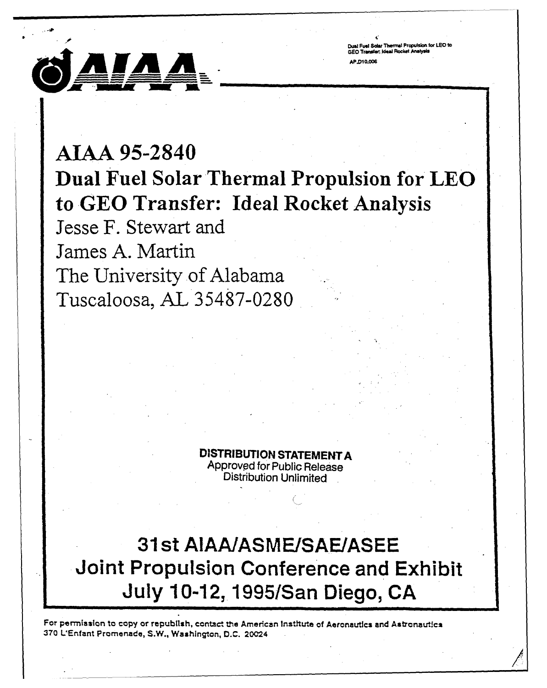

**Dual Fuol Sola Thermal Propulsion~ for LEO to GEO TrarvecIeai Rocket MAr\*WS** AP DIO OOR

# **AIAA 95-284.0 Dual Fuel Solar Thermal Propulsion for'LEO to GEG Transfer: Ideal Rocket Analysis**

Jesse F. Stewart and James **A.** Martin The University of Alabama Tuscaloosa, **AL 35487-0280.**

> **DISTRIBUTION STATEMENT A** Approved for Public Release Distribution Unlimited

## **31 st AIAA/ASME/SAE/ASEE Joint Propulsion Conference and Exhibit July 10-12,1995/San Diego, CA**

For permission to copy or republish, contact the American Institute of Aeronautics and Astronautica **370** LEnfant Promenade, **S.W.,** Washington, **D.C.** 20C24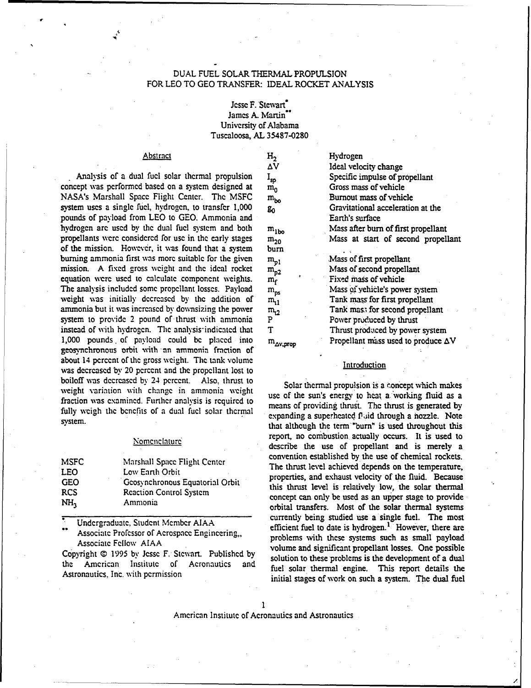## DUAL FUEL SOLAR THERMAL PROPULSION FOR LEO TO **GEO** TRANSFER: IDEAL ROCKET ANALYSIS

## Jesse F. Stewart<sup>\*</sup> James A. Martin" University of Alabama Tuscaloosa, **AL** 35487-0280

Analysis of a dual fuel solar thermal propulsion  $I_{sp}$  Specific impulse of propellant concept was performed based on a system designed at  $m_0$  Gross mass of vehicle NASA's Marshall Space Flight Center. The MSFC  $m_{bo}$  Burnout mass of vehicle NASA's Marshall Space Flight Center. The MSFC m<sub>bo</sub> Burnout mass of vehicle system uses a single fuel, hydrogen, to transfer 1,000 g<sub>0</sub> Gravitational acceleration at the system uses a single fuel, hydrogen, to transfer 1,000  $g_0$ pounds of payload from LEO to GEO. Ammonia and Earth's surface hydrogen are used by the dual fuel system and both  $m_{1bo}$  Mass after burn of first propellant propellants were considered for use in the early stages  $m_{20}$  Mass at start of second propellant of the mission. However, it was found that a system burn burning ammonia first was more suitable for the given  $m_{p1}$  Mass of first propellant mission. A fixed gross weight and the ideal rocket  $m_{p2}$  Mass of second propellant equation were used to calculate component weights.  $m_f^2$  Fixed mass of vehicle The analysis included some propellant losses. Payload  $m_{ps}$  Mass of vehicle's pow The analysis included some propellant losses. Payload **raps** Mass **of** yehicle's power system weight was initially decreased by the addition of  $m_{11}$  Tank mass for first propellant ammonia but it was increased by downsizing the power  $m_{12}$  Tank mass for second propellant system to provide 2 pound of thrust with ammonia  $P$  Power produced by thrust instead of with hydrogen. The analysis indicated that T Thrust produced by power system 1,000 pounds of payload could be placed into  $m_{\Delta v, prop}$  Propellant mass used to produce  $\Delta V$ geosynchronous orbit with an ammonia fraction of about 14 percent of the gross weight. The tank volume **Introduction** was decreased by 20 percent and the propellant lost to boiloff was decreased by 24 percent. Also, thrust to weight variation with change in ammonia weight successive solar thermal propulsion is a concept which makes weight variation with change in ammonia weight use of the sun's energy to heat a working fluid as a fraction was examined. Further analysis is required to means of providing thrust. **The** thrust is generated by fully weigh the benefits of a dual fuel solar thermal

| <b>MSFC</b>     | Marshall Space Flight Center    |
|-----------------|---------------------------------|
| <b>LEO</b>      | Low Earth Orbit                 |
| <b>GEO</b>      | Geosynchronous Equatorial Orbit |
| <b>RCS</b>      | <b>Reaction Control System</b>  |
| NH <sub>3</sub> | Ammonia                         |

Abstract H<sub>2</sub> Hydrogen AV Ideal velocity change

system.<br>sytem expanding a superheated f did through a nozzle. Note system.<br>that although the term "burn" is used throughout this Nomenclature report, no combustion actually occurs. It is used to<br>Nomenclature report of the use of percellent and is month to describe the use of propellant and is merely a convention established by the use of chemical rockets.<br>The thrust level achieved depends on the temperature,<br>properties, and exhaust velocity of the fluid. Because this thrust level is relatively low, the solar thermal concept can only be used as an upper stage to provide orbital transfers. Most of the solar thermal systems **Undergraduate, Student Member AIAA currently being studied use a single fuel.** The most Undergraduate, Student Member AIAA Associate Professor of Acrospace Engineering, efficient fuel to date is hydrogen.<sup>1</sup> However, there are<br>Associate Professor of Acrospace Engineering, problems with these systems such as small payload<br>volume and significant Copyright 0 1995 by **Jesse** F. Stewart. Published by solution to these problems is the development of a dual the American Institute of Aeronautics and fuel solar thermal engine. This report details the Astronautics, Inc. with permission initial stages of work on such a system. The dual fuel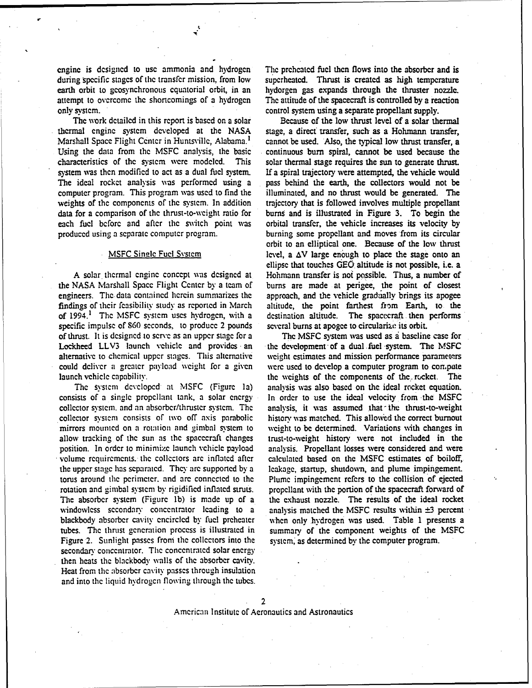during specific stages of the transfer mission, from low superheated. Thrust is created as high temperature earth orbit to geosynchronous equatorial orbit, in an hydorgen gas expands through the thruster nozzle.<br>attempt to overcome the shortcomings of a hydrogen The attitude of the spacecraft is controlled by a reaction attempt to overcome the shortcomings of a hydrogen The attitude of the spacecraft is controlled by a reaction only system.<br>
control system using a separate propellant supply.

thermal engine system developed at the NASA stage, a direct transfer, such as a Hohmann transfer, Marshall Space Flight Center in Huntsville, Alabama.<sup>1</sup> cannot be used. Also, the typical low thrust transfer, a Using the data from the MSFC analysis, the basic continuous burn spiral, cannot be used because the characteristics of the system were modeled. This solar thermal stage requires the sun to generate thrust. system was then modified to act as a dual fuel system. If a spiral trajectory were attempted, the vehicle would The ideal rocket analysis was performed using a pass behind the earth, the collectors would not be computer program. This program was used to find the illuminated, and no thrust would be generated. The weights of the components of the system. In addition trajectory that is followed involves multiple propellant data for a comparison of the thrust-to-weight ratio for **burns** and is illustrated in Figure **3.** To begin the each fuel before and after the switch point was orbital transfer, the vehicle increases its velocity by produced using a separate computer program. burning some propellant and moves from its circular

engineers. The data contained herein summarizes the approach, and the vehicle gradually brings its apogee findings of their feasibility study as reported in March altitude, the point farthest from Earth, to the of 1994.<sup>1</sup> The MSFC system uses hydrogen, with a destination altitude. The spacecraft then performs specific impulse of 860 seconds, to produce 2 pounds several burns at apogee to circularize its orbit. of thrust. It is designed to serve as an upper stage for a The MSFC system was used as a baseline case for Lockheed LLV3 launch vehicle and provides **-an** the development of a dual .fuel system. The MSFC alternative to chcmical upper stages. This alternative wcight estimates and mission performance parameters could deliver a greater payload weight for a given were used to develop a computer program to compute

consists of a single propellant tank, a solar energy In order to use the ideal velocity from the MSFC collector system. and an absorbcr/thrustcr system. The analysis, it was assumed that- the thrust-to-weight collector system consists of two off axis parabolic history was matched. This allowed the correct burnout mirrors mounted on a rotation and gimbal svstcm to weight to **be** determined. Variations with changes in allow tracking of the sun as the spacecraft changes trust-to-weight history were not included in the position. In order to minimize launch vehicle payload analysis. Propellant losses were considered and were volume requirements. the collectors arc inflated after calculated based on the MSFC estimates of boiloff, the upper stage has scpiratcd. They arc supported by a leakage, startup, shutdown, and plume impingement. torus around the perimeter, and are connected to the Plume impingement refers to the collision of ejected rotation and gimbal svstcm by rigidificd inflated struts. propellant with the portion of the spacecraft forward of The absorber system (Figure **lb)** is made up of a the exhaust nozzle. The results of the ideal rocket blackbody absorber cavity encircled by fuel preheater whcn only hydrogen was used. Table 1 presents a tubes. The thrust generation process is illustrated in summary of the component weights of the MSFC Figure 2. Sunlight passes from the collectors into the system, as determined by the computer program. secondary concentrator. The concentrated solar energy then heats the blackbody walls of the absorber cavity. Heat from the absorber cavity passes through insulation and into the liquid hydrogen flowing through the tubes.

cnginc is **designed to usc** ammonia and hydrogen **The** prchcatcd fucl thcn **flows** into the absorber and is control system using a separate propellant supply.

The work detailed in this report is based on a solar Because of the low thrust level of a solar thermal continuous burn spiral, cannot be used because the orbit to an elliptical one. Because of the low thrust MSFC Single Fuel System level, a  $\Delta V$  large enough to place the stage onto an ellipse that touches **GEO,** altitude is not possible, i.e. a A solar thermal engine concept was designed at Hohmann transfer is not possible. Thus, a number of the NASA Marshall Space Flight Center by a team of burns are made at perigee, the point of closest burns are made at perigee, the point of closest

launch vehicle capability. The weights of the components of the rocket. The The system developed at MSFC (Figure 1a) analysis was also based on the ideal rocket equation. windowless secondary concentrator leading to a analysis matched the **MSFC** results within **±3** percent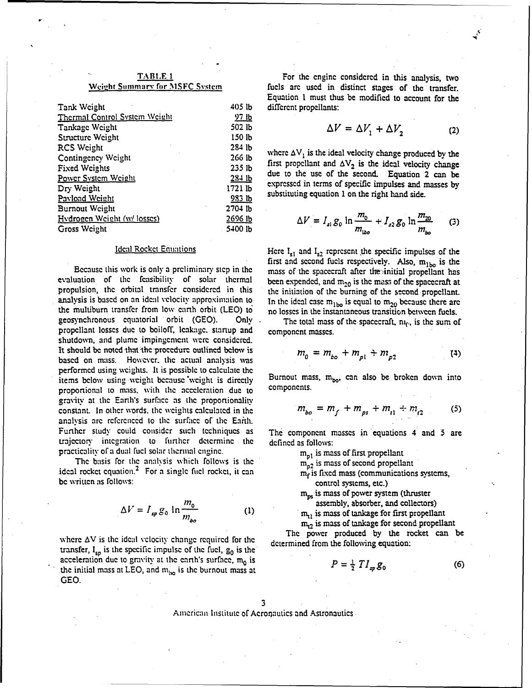| Tank Weight                   | 405 lb       | different propellants:                                                                                    |
|-------------------------------|--------------|-----------------------------------------------------------------------------------------------------------|
| Thermal Control System Weight | <u>97 lb</u> |                                                                                                           |
| Tankage Weight                | $502$ lb     | $\Delta V = \Delta V_1 + \Delta V_2$<br>(2)                                                               |
| Structure Weight              | 150 lb       |                                                                                                           |
| RCS Weight                    | $284$ $lb$   |                                                                                                           |
| Contingency Weight            | 266 lb       | where $\Delta V_1$ is the ideal velocity change produced by the                                           |
| <b>Fixed Weights</b>          | $235$ lb     | first propellant and $\Delta V_2$ is the ideal velocity change                                            |
| Power System Weight           | $28 + 1b$    | due to the use of the second. Equation 2 can be                                                           |
| Dry Weight                    | 1721 lb      | expressed in terms of specific impulses and masses by                                                     |
| Pavload Weight                | 983 lb       | substituting equation 1 on the right hand side.                                                           |
| <b>Burnout Weight</b>         | $2704$ lb    |                                                                                                           |
| Hydrogen Weight (w/ losses)   | 2696 lb      |                                                                                                           |
| Gross Weight                  | 5400 lb      | $\Delta V = I_{s1} g_0 \ln \frac{m_0}{m_{\text{iso}}} + I_{s2} g_0 \ln \frac{m_{20}}{m_{\text{iso}}}$ (3) |
|                               |              |                                                                                                           |

Because this work is only a preliminary step in the evaluation of the feasibility of solar thermal been expended, and m<sub>20</sub> is the mass of the spacecraft at propulsion, the orbital transfer considered in this the initiation of the burning of the second propellant. analysis is based on an ideal velocity approximation to In the ideal case  $m_{1bo}$  is equal to  $m_{20}$  because there are the multiburn transfer from low carth orbit (LEO) to' no losses in the instantaneous transition between fuels. geosynchronous equatorial orbit (GEO). Only The total mass of the spacecraft,  $n_0$ , is the sum of propellant losses due to boiloff, leakage, startup and component masses. shutdown, and plume impingement were considered. It should be noted that the procedure outlined below is based on mass. However. **the** actual analysis was performed using wcights. It is possible to calculate the items below using weight because weight is directly Burnout mass,  $m_{bo}$ , can also be broken down into proportional to mass, with the acceleration due to components. gravity at the Earth's surface as the proportionality constant. In other words, the weights calculated in the **flo** *= mf* + r + *m* -r **(5)** analysis are referenced to the surface of the Earth. Further study could consider such techniques as The component masses in equations 4 and 5 are trajectory integration to further determine the defined as follows: practicality of a dual fuel solar thermal engine.  $m_{n_1}$  is mass of first propellant

The basis for the analysis which follows is the  $m_{02}$  is mass of second propellant ideal rocket equation.<sup>2</sup> For a single fuel rocket, it can  $m_f$  is fixed mass (communications systems, be written as follows: control systems, etc.)

$$
\Delta V = I_{sp} g_0 \ln \frac{m_0}{m_{bo}} \tag{1}
$$

transfer,  $I_{\text{sn}}$  is the specific impulse of the fuel,  $g_0$  is the acceleration due to gravity at the earth's surface, m<sub>0</sub> is the initial mass at LEO, and  $m_{\text{ho}}$  is the burnout mass at **GEO.**

**TABLE 1 For the engine considered in this analysis, two** Weight Summary for MSFC System fuels are used in distinct stages of the transfer. Equation **I** must thus be modified to account for the different propellants:

$$
\Delta V = \Delta V_1 + \Delta V_2 \tag{2}
$$

$$
\Delta V = I_{s1} g_0 \ln \frac{m_0}{m_{\text{iso}}} + I_{s2} g_0 \ln \frac{m_{20}}{m_{\text{iso}}} \qquad (3)
$$

Ideal Rocket Equations Here I<sub>s1</sub> and I<sub>s2</sub> represent the specific impulses of the first and second fuels respectively. Also,  $m_{1bo}$  is the mass of the spacecraft after the initial propellant has

$$
m_0 = m_{bo} + m_{p1} + m_{p2} \tag{4}
$$

$$
m_{bo} = m_f + m_{ps} + m_{l1} + m_{l2} \tag{5}
$$

- 
- **raps** is mass of power system (thruster assembly, absorber, and collectors)

 $m_{11}$  is mass of tankage for first propellant

 $m_{12}$  is mass of tankage for second propellant

where  $\Delta V$  is the ideal velocity change required for the determined from the following equation:

$$
P = \frac{1}{2} T I_{sp} g_0 \tag{6}
$$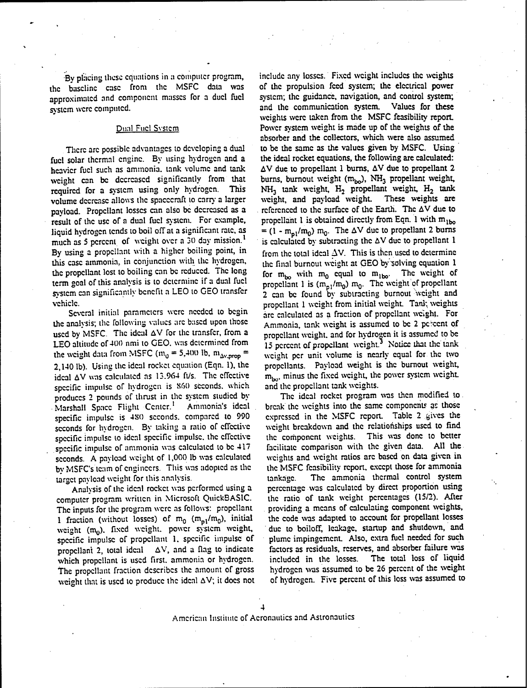the bascline case from the MSFC data was of the propulsion feed system; the electrical power<br>approximated and component masses for a duel fuel system; the guidance, navigation, and control system; approximated and component masses for a duel fuel system; the guidance, navigation, and control system; system were computed. and the communication system. Values for these

fucl solar thermal engine. By using hydrogen and a the ideal rocket equations, the following are calculated:<br>heavier fucl such as ammonia, tank volume and tank  $\Delta V$  due to propellant 1 burns,  $\Delta V$  due to propellant 2 heavier fuel such as ammonia, tank volume and tank weight can be decreased significantly from that required for a system using only hydrogen. This NH<sub>3</sub> tank weight, H<sub>2</sub> propellant weight, H<sub>2</sub> tank<br>volume decrease allows the spacecraft to carry a larger weight, and payload weight. These weights are volume decrease allows the spacecraft to carry a larger weight, and payload weight. These weights are<br>payload. Propellant losses can also be decreased as a creferenced to the surface of the Earth. The  $\Delta V$  due to payload. Propellant losses can also be decreased as a referenced to the surface of the Earth. The  $\Delta V$  due to result of the use of a dual fuel system. For example, propellant I is obtained directly from Eqn. 1 with  $m_{1bo$ result of the use of a dual fuel system. For example, liquid hydrogen tends to boil off at a significant rate, as much as 5 percent of weight over a 30 day mission.<sup>1</sup> By using a propellant with a higher boiling point, in from the total ideal  $\Delta V$ . This is then used to determine this case ammonia, in conjunction with the hydrogen, the final burnout weight at GEO by solving equation 1 the propellant lost to boiling can be reduced. The long term goal of this analysis is to determine if a dual fuel system can significantly benefit a LEO to GEO transfer

Several initial parameters were needed to begin are calculated as a fraction of propellant weight. For the analysis; the following values are based upon those Ammonia, tank weight is assumed to be 2 percent of used by MSFC. The ideal  $\Delta V$  for the transfer, from a propellant weight, and for hydrogen it is assumed to be LEO altitude of 400 nmi to GEO. was determined from  $15$  percent of propellant weight.<sup>3</sup> Notice that the tank the weight data from MSFC  $(m_0 = 5,400 \text{ lb}, m_{\Delta v,prop} =$  weight per unit volume is nearly equal for the two 2.140 lb). Using the ideal rocket equation (Eqn. 1), the propellants. Payload weight is the burnout weight, 2,140 lb). Using the ideal rocket equation (Eqn. 1), the propellants. Payload weight is the burnout weight, ideal  $\Delta V$  was calculated as 13.964 ft/s. The effective  $m_{\text{low}}$ , minus the fixed weight, the power system weig ideal  $\Delta V$  was calculated as 13.964 ft/s. The effective  $m_{\text{bo}}$ , minus the fixed weight, the specific impulse of hydrogen is 860 seconds, which and the propellant tank weights. specific impulse of hydrogen is 860 seconds, which and the propellant tank weights.<br>
produces 2 pounds of thrust in the system studied by The ideal rocket program was then modified to produces 2 pounds of thrust in the system studied by Marshall Space Flight Center.<sup>1</sup> Ammonia's ideal Marshall Space Flight Center.<sup>1</sup> Ammonia's ideal break the weights into the same components as those specific impulse is 480 seconds, compared to 990 expressed in the MSFC report. Table 2 gives the seconds for hydrogen. By taking a ratio of effective weight breakdown and the relationships used to find<br>specific impulse to ideal specific impulse, the effective the component weights. This was done to better specific impulse to ideal specific impulse, the effective the component weights. This was done to better specific impulse of ammonia was calculated to be  $417$  facilitate comparison with the given data. All the specific impulse of ammonia was calculated to be 417 seconds. A payload weight of 1,000 lb was calculated weights and weight ratios are based on data given in by MSFC's team of engineers. This was adopted as the the MSFC feasibility report, except those for ammonia by MSFC's team of engineers. This was adopted as the

computer program written in Microsoft QuickBASIC. the ratio of tank weight percentages (15/2). After<br>The inputs for the program were as follows: propellant providing a means of calculating component weights, The inputs for the program were as follows: propellant **I** fraction (without losses) of  $m_0$  ( $m_{p1}/m_0$ ), initial the code was adapted to account for propellant losses weight ( $m_0$ ). fixed weight, power system weight, due to boiloff, leakage, startup and shutdown, and weight  $(m_0)$ . fixed weight, power system weight, specific impulse of propellant 1, specific impulse of plume impingement. Also, extra fuel needed for such propellani 2, total ideal  $\Delta V$ , and a flag to indicate factors as residuals, reserves, and absorber failure was which propellant is used first, ammonia or hydrogen. included in the losses. The total loss of liquid which propellant is used first, ammonia or hydrogen. Included in the losses. The propellant fraction describes the amount of gross hydrogen was assumed to be 26 percent of the weight weight weight do be 26 percent of this loss was assumed to weight that is used to produce the ideal  $\Delta V$ ; it does not

By placing these equations in a computer program, include any losses. Fixed weight includes the weights baseline case from the MSFC data was of the propulsion feed system; the electrical power and the communication system. weights were taken from the MSFC feasibility report. Duail Fucl Systcm Power system weight is made up of the weights of the absorber and the collectors, which were also assumed There are possible advantages to developing a dual to be the same as the values given by MSFC. Using solar thermal engine. By using hydrogen and a the ideal rocket equations, the following are calculated: burns, burnout weight ( $m_{bo}$ ), NH<sub>3</sub> propellant weight, NH<sub>3</sub> tank weight, H<sub>2</sub> tank =  $(1 - m_{pl}/m_0)$  m<sub>0</sub>. The  $\Delta V$  due to propellant 2 burns is calculated by subtracting the  $\Delta V$  due to propellant 1 for  $m_{bo}$  with  $m_0$  equal to  $m_{1bo}$ . The weight of propellant **2** can be found by subtracting burnout weight and vehicle.<br>Several initial parameters were needed to begin are calculated as a fraction of propellant weight. For Ammonia, tank weight is assumed to be 2 pc-cent of

expressed in the MSFC report. Table 2 gives the weight breakdown and the relationships used to find target payload weight for **this** analysis. tankage. The ammonia thermal control system Analysis of the ideal rocket was performed using a percentage was calculated by direct proportion using<br>puter program written in Microsoft QuickBASIC. the ratio of tank weight percentages (15/2). After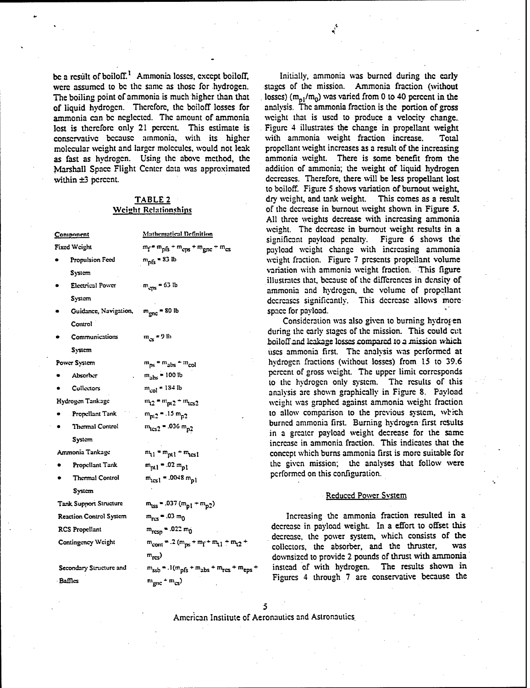were assumed to be the same as those for hydrogen. The boiling point of ammonia is much higher than that of liquid hydrogen. Thcrcforc, the boiloff losses for analysis. **The** ammonia fraction is the portion of gross ammonia can be neglected. The amount of ammonia weight that is used to produce a velocity change.<br>lost is therefore only 21 percent. This estimate is Figure 4 illustrates the change in propellant weight lost is therefore only 21 percent. This estimate is Figure 4 illustrates the change in propellar conservative because ammonia, with its higher with ammonia weight fraction increase. conservative because ammonia, with its higher with ammonia weight fraction increase. Total<br>molecular weight and larger molecules, would not leak propellant weight increases as a result of the increasing molecular weight and larger molecules, would not leak as fast as hydrogen. Using the above method, the ammonia weight. There is some benefit from the Marshall Space Flight Center data was approximated addition of ammonia; the weight of liquid hydrogen Marshall Space Flight Center data was approximated

|                                | <u>Component</u>                  | Mathematical Definition                                                             |
|--------------------------------|-----------------------------------|-------------------------------------------------------------------------------------|
|                                | Fixed Weight                      | $m_f$ = $m_{pfs}$ + $m_{eps}$ + $m_{gnc}$ + $m_{cs}$                                |
| $\bullet$                      | Propulsion Feed                   | $m_{\text{pfs}}$ = 83 lb                                                            |
|                                | System                            |                                                                                     |
| ۰                              | <b>Electrical Power</b>           | $m_{\text{cps}} = 63$ lb                                                            |
|                                | System                            |                                                                                     |
| ٠                              | Guidance, Navigation,             | $m_{\text{gnc}}$ = 80 lb                                                            |
|                                | Control                           |                                                                                     |
| ٠                              | Communications                    | $m_{\infty}$ = 9 lb                                                                 |
|                                | System                            |                                                                                     |
|                                | Power System                      | $m_{ps}$ = $m_{abs}$ + $m_{col}$                                                    |
|                                | Absorber                          | $m_{\text{abs}}$ = 100 lb                                                           |
|                                | Collectors                        | $m_{col}$ = 184 lb                                                                  |
|                                | Hydrogen Tankage                  | $m_{12}$ = $m_{pt2}$ + $m_{tcs2}$                                                   |
|                                | Propellant Tank                   | $m_{pl2}$ = .15 $m_{p2}$                                                            |
|                                | Thermal Control                   | $m_{1cs2}$ = .036 $m_{p2}$                                                          |
|                                | System                            |                                                                                     |
|                                | Ammonia Tankage                   | $m_{11} = m_{pt1} + m_{tcs1}$                                                       |
|                                | Propellant Tank                   | $m_{pl1} = .02 m_{pl}$                                                              |
|                                | Thermal Control                   | $m_{test}$ = .0048 $m_{pl}$                                                         |
|                                | System <sup>-</sup>               |                                                                                     |
|                                | Tank Support Structure            | $m_{LSS}$ = .037 ( $m_{pl}$ + $m_{p2}$ )                                            |
| <b>Reaction Control System</b> |                                   | $m_{res} = .03 m_0$                                                                 |
|                                | RCS Propellant                    | $m_{resp} = .022 \, m_0$                                                            |
|                                | Contingency Weight                | $m_{\text{cont}} = .2 (m_{\text{ps}} + m_{\text{f}} + m_{\text{t}} + m_{\text{t}})$ |
|                                |                                   | $m_{\text{rcs}}$                                                                    |
|                                | Secondary Structure and<br>$\sim$ | $m_{ssb} = .1(m_{pfs} + m_{abs} + m_{rcs} + m_{ej}$                                 |
|                                |                                   |                                                                                     |

be a result of boiloff.<sup>1</sup> Ammonia losses, except boiloff, Initially, ammonia was burned during the early were assumed to be the same as those for hydrogen. stages of the mission. Ammonia fraction (without losses) ( $m_{pl}/m_0$ ) was varied from 0 to 40 percent in the analysis. The ammonia fraction is the portion of gross within  $\pm 3$  percent. **decreases.** Therefore, there will be less propellant lost to boiloff. Figure **5** shows variation of burnout weight, TABLE **2** dry weight, and tank weight. This comes as a result Weight **Relationships** of the decrease in burnout weight shown in Figure **5.** All three weights decrease with increasing ammonia weight. The decrease in burnout weight results in a significant payload penalty. Figure **6** shows the **payload** weight change with increasing ammonia weight fraction. Figure 7 presents propellant volume variation with ammonia weight fraction. This figure SElctrical **Power** = **63 lb** illustrates that, because of the diTcrences in density of ammonia and hydrogen, the volume of propellant decreases significantly. This decrease allows morespace for payload.

> Consideration was also given to burning hydrogen during the early stages of the mission. This could cut boiloffand Iaakage losses compared **ion** mission which uses ammonia first. The analysis was performed at hydrogen fractions (without losses) from 15 to 39.6 percent of gross weight. The upper limit corresponds to the hydrogen only system. The results of this analysis are shown graphically in Figure 8. Payload weight was graphed against ammonia weight fraction to allow comparison to the previous system, which **burned ammonia first. Burning hydrogen first results** in a greater payload weight decrease for the same increase in ammonia fraction. This indicates that the concept which burns ammonia first is more suitable for the given mission; the analyses that follow were performed on this configuration.

### **System** Reduced Power System

Increasing the ammonia fraction resulted in a decrease in payload weight. In a effort to offset this decrease, the power system, which consists of the collectors, the absorber and the thruster, was collectors, the absorber, and the thruster, **Mrrs)** downsizcd to provide 2 pounds of thrust with ammonia instead of with hydrogen. The results shown in Baffles **mgnc** + m<sub>gnc</sub> + m<sub>cs</sub>) **12** Figures 4 through 7 are conservative because the

 $\overline{5}$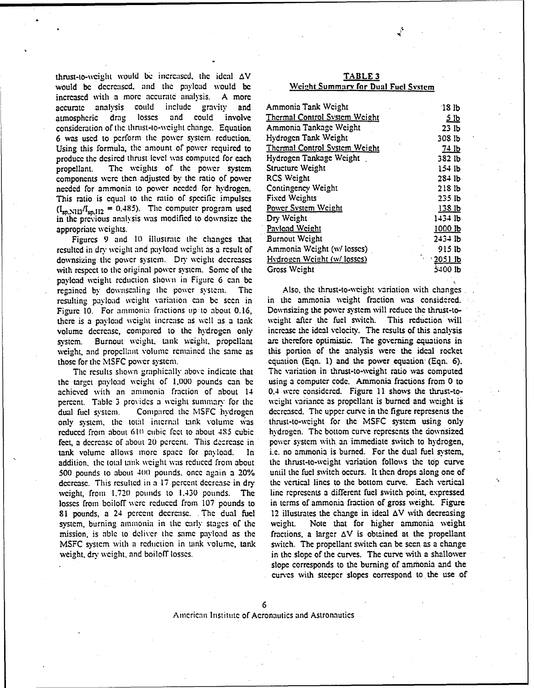thrust-to-weight would be increased, the ideal  $\Delta V$ would be decreased, and the payload would be increased with **a** more accuratc analysis. **A more** accurate analysis could include gravity and atmospheric drag losses and could involve consideration of the thrust-to-weight change. Equation 6 was used to perform the power system reduction. Using this formula, the amount of power required to produce the desired thrust level was computed for each propellant. The weights of the power system components were then adjusted by the ratio of power needed for ammonia to power needed for hydrogen. This ratio is equal to the ratio of specific impulses  $(I_{sp,N113}/I_{sp,112} = 0.485)$ . The computer program used in the previous analysis was modified to downsize the appropriate weights.

Figures 9 and 10 illustrate the changes that resulted in dry weight and payload weight as a result of downsizing the power system. Dry weight decreases with respect to the original power system. Some of the payload weight reduction shown in Figure 6 can be regained by downscaling the power system. The Also, the thrust-to-weight variation with changes resulting **payload** weight variation can be seen in in the ammonia weight fraction was considered. Figure 10. For ammnonia fractions up to about 0.16, Downsizing the power system will reduce the thrust-tothere is **a** payload weight increase as we!l as a tank wcight after the fuel switch. This reduction will volume decrease, compared to the hydrogen only increase the ideal velocity. The results of this analysis system. Burnout weight, tank weight, propellant are therefore optimistic. The governing equations in weight and propellant volume remained the same as this portion of the analysis were the ideal rocket weight, and propellant volume remained the same as those for the MSFC power system. equation (Eqn. 1) and the power equation (Eqn. 6).

the target payload wcight of **1,000** pounds can be using a computer code. Ammonia fractions from 0 to achieved with an namonia fraction of about 14 0.4 were considered. Figure 11 shows the thast-topercent. Table 3 provides a weight summary for the wcight variance as propellant is burned and weight is dual fuel system. Compared the MSFC hydrogen decreased. The upper curve in the figure represents the only system, the total internal tank volume was thrust-to-weight for the MSFC system using only reduced from about **610** cubic feet to about 485 cubic hyvdrogen. The bottom curve represents the downsized feet, a decrease of about 20 percent. This decrease in power system with an immediate switch to hydrogen, tank volume allows more space for payload. In i.e. no ammonia is burned. For the dual fuel system, addition, the total tank weight **was** reduced from about the thrust-to-weight variation follows the **top** curve 500 pounds to about 400 pounds. once **apain** a 20% until the fuel switch occurs. It then drops along one of decrease. This resulted in a 17 percent decrease in dry the vertical lines to the bottom curve. Each vertical weight, from **1.720** pounds to 1.430 pounds. The line represents a different fuel switch point, expressed losses from boiloff were reduced from 107 pounds to in terms of ammonia fraction of gross weight. Figure **81** pounds, a 24 percent dccresc.. The dual fuel 12 illustrates the change in ideal AV with decreasing system, burning ammonia in the carly stages of the weight. Note that for higher ammonia veight mission, is able to deliver the same payload as the fractions, a larger  $\Delta V$  is obtained at the propellant MSFC system with a reduction in tank volume, tank switch. The propellant switch can be seen as a change weight, dry weight, and boiloff losses.  $\cdot$  in the slope of the curves. The curve with a shallower

| TABLE 3 |                                     |  |  |  |  |
|---------|-------------------------------------|--|--|--|--|
|         | Weight Summary for Dual Fuel System |  |  |  |  |

| Ammonia Tank Weight           | 18 <sub>b</sub>                           |
|-------------------------------|-------------------------------------------|
| Thermal Control System Weight | 5lb                                       |
| Ammonia Tankage Weight        | 23 lb                                     |
| Hydrogen Tank Weight          | 308 lb                                    |
| Thermal Control System Weight | 74 lb                                     |
| Hydrogen Tankage Weight       | 382 lb                                    |
| Structure Weight              | 154 lb                                    |
| RCS Weight                    | $28+1b$                                   |
| Contingency Weight            | 218 <sub>b</sub>                          |
| Fixed Weights                 | $235$ lb                                  |
| <b>Power System Weight</b>    | 138 lb                                    |
| Dry Weight                    | 1434 lb                                   |
| Pavload Weight                | 1000 Њ                                    |
| Burnout Weight                | 2434 lb                                   |
| Ammonia Weight (w/losses)     | $915$ $lb$                                |
| Hydrogen Weight (w/losses)    | $\frac{2051 \text{ lb}}{2051 \text{ lb}}$ |
| Gross Weight                  | 5400 lb                                   |

The results shown graphically above indicate that The variation in thrust-to-weight ratio **was** computed slope corresponds to the burning of ammonia and the curves with steeper slopes correspond to the use of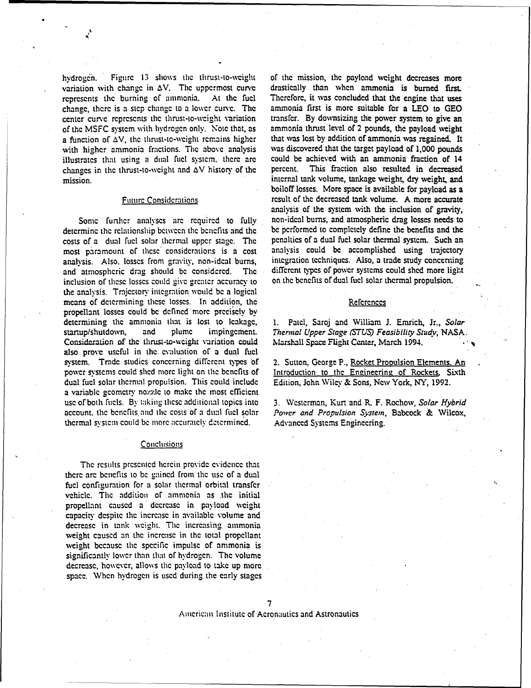hydrogen. Figure 13 shows the thrust-to-weight of the mission, the payload weight decreases more variation with change in  $\Delta V$ . The uppermost curve drastically than when ammonia is burned first. variation with change in  $\Delta V$ . The uppermost curve drastically than when ammonia is burned first.<br>represents the burning of ammonia. At the fuel Therefore, it was concluded that the engine that uses represents the burning of ammonia. At the fuel Therefore, it was concluded that the engine that uses change, there is a step change to a lower curve. The ammonia first is more suitable for a LEO to GEO change, there is a step change to a lower curve. The ammonia first is more suitable for a LEO to GEO center curve represents the thrust-to-weight variation transfer. By downsizing the power system to give an center curve represents the thrust-to-weight variation transfer. By downsizing the power system to give an of the MSFC system with hydrogen only. Note that, as ammonia thrust level of 2 pounds, the payload weight of the MSFC system with hydrogen only. Note that, as ammonia thrust level of 2 pounds, the payload weight a function of  $\Delta V$ , the thrust-to-weight remains higher that was lost by addition of ammonia was regained. It a function of  $\Delta V$ , the thrust-to-weight remains higher with higher ammonia fractions. The above analysis illustrates that using a dual fuel systcm. there **arc** could be achieved with an ammonia fraction of 14 changes in the thrust-to-weight and  $\Delta V$  history of the mission. internal tank volume, tankage weight, dry weight, and

determine the relationship between the benefits and the beenefited bed performed to completely define the benefits and the costs of a dual fuel solar thermal system. Such an costs of a dual fuel solar thermal upper stage. The penalties of a dual fuel solar thermal system. Such an most paramount of these considerations is a cost analysis could be accomplished using trajectory most paramount of these considerations is a cost analysis could be accomplished using trajectory<br>analysis. Also losses from gravity, non-ideal burns. Integration techniques. Also, a trade-study-concerning analysis. Also, losses from gravity, non-ideal burns, integration techniques. Also, a trade study concerning and atmospheric drag should be considered. The different types of power systems could shed more light and atmospheric drag should be considered. The different types of power systems could shed more lig<br>inclusion of these losses could give greater accuracy to on the benefits of dual fuel solar thermal propulsion. inclusion of these losses could give greater accuracy to the analysis. Trajcctory intcgration would be a logical means of determining these losses. In addition, the References propellant losses could be defined more precisely by determining the ammonia that is lost to leakage, startup/shutdown, and plume impingement. *Thermal Upper Stage (STUS) Feasibility Study,* NASA. Consideration of the thrust-to-weight variation could Marshall Space Flight Center, March 1994. also prove useful in the evaluation of a dual fuel system. Trade studies concerning different types of 2. Sutton, George P., Rocket Propulsion Elements. An power systems could shed more light on the benefits of Introduction to the Engineering of Rockets. Sixth dual fuel solar thermal propulsion. This could include Edition, John Wiley & Sons, New York, NY, 1992. a variable geometry nozzle to make the most efficient use of both fiels. By taking these additional topics into **3.** Wcsterman, Kurt and R. F. Rochow, *Solar Hybrid* account. the benefits and thc costs of a du:l fuel solar *Power and Propulsion System,* Babcock & Wilcox, thermal system could be more accurately determined. Advanced Systems Engineering.

## Conclusions

The results presented herein provide evidence that there arc bcncfits to be gained from the use of a dual fuel configuration for a solar thermal orbital transfer vehicle. The addition of ammonia as the initial propellant caused a decrease in payload weight capacity despite the increase in available volume and decrease in tank weight. The increasing ammonia weight caused an the increase in the total propellant weight because the specific impulse of ammonia is significantly lower than that of hvdrogcn. The volume decrease, however, allows the payload to take up more space. When hydrogen is used during the early stages

was discovered that the target payload of 1,000 pounds could be achieved with an ammonia fraction of 14 boiloff losses. More space is available for payload as a Future Considcrations result of the decreased tank volume. **A** more accurate analysis of the system with the inclusion of gravity, Some further analyses are required to fully non-ideal burns, and atmospheric drag losses needs to remine the relationship between the benefits and the benefits on the performed to completely define the benefits and the

1. Patel, Saroj and William J. Emrich, Jr., Solar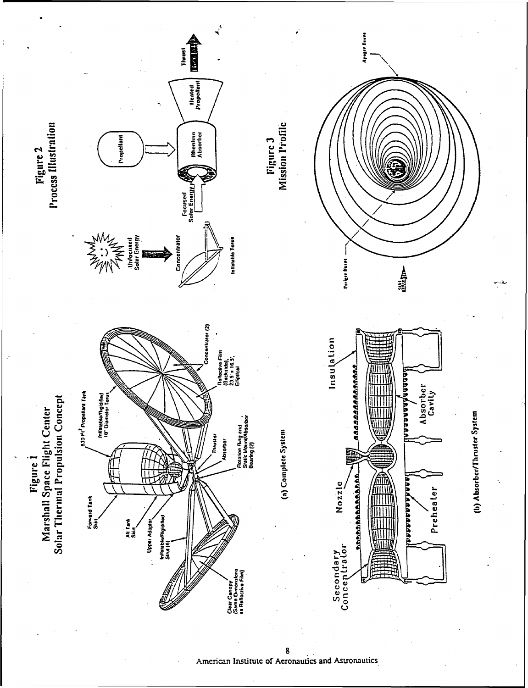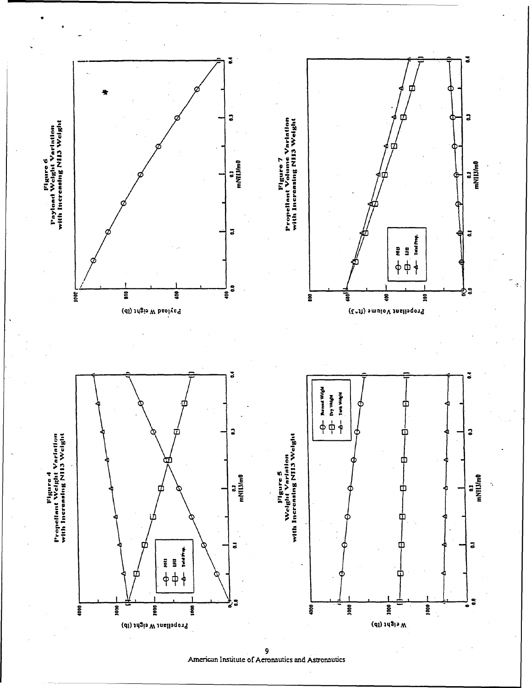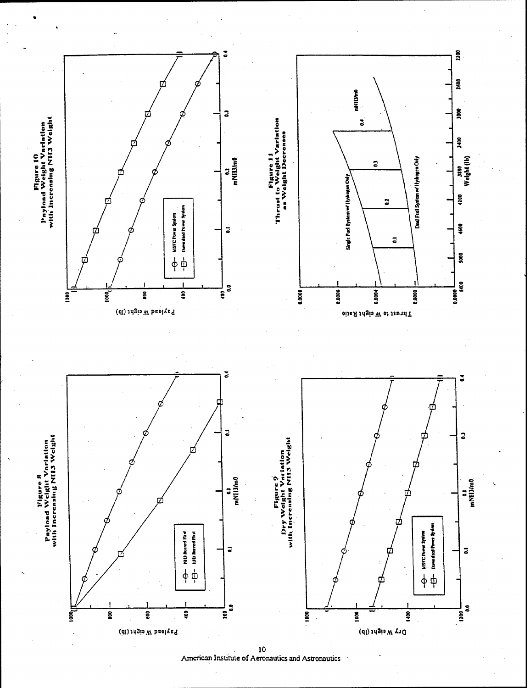